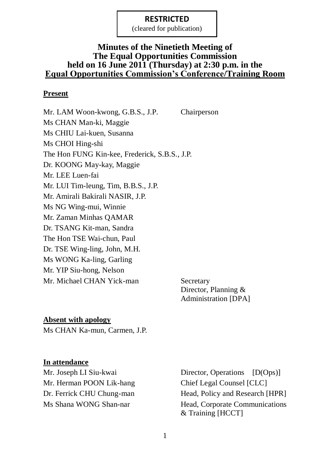(cleared for publication)

### **Minutes of the Ninetieth Meeting of The Equal Opportunities Commission held on 16 June 2011 (Thursday) at 2:30 p.m. in the Equal Opportunities Commission's Conference/Training Room**

#### **Present**

Mr. LAM Woon-kwong, G.B.S., J.P. Chairperson Ms CHAN Man-ki, Maggie Ms CHIU Lai-kuen, Susanna Ms CHOI Hing-shi The Hon FUNG Kin-kee, Frederick, S.B.S., J.P. Dr. KOONG May-kay, Maggie Mr. LEE Luen-fai Mr. LUI Tim-leung, Tim, B.B.S., J.P. Mr. Amirali Bakirali NASIR, J.P. Ms NG Wing-mui, Winnie Mr. Zaman Minhas QAMAR Dr. TSANG Kit-man, Sandra The Hon TSE Wai-chun, Paul Dr. TSE Wing-ling, John, M.H. Ms WONG Ka-ling, Garling Mr. YIP Siu-hong, Nelson Mr. Michael CHAN Yick-man Secretary

Director, Planning & Administration [DPA]

#### **Absent with apology**

Ms CHAN Ka-mun, Carmen, J.P.

#### **In attendance**

Mr. Herman POON Lik-hang Chief Legal Counsel [CLC]

Mr. Joseph LI Siu-kwai Director, Operations [D(Ops)] Dr. Ferrick CHU Chung-man Head, Policy and Research [HPR] Ms Shana WONG Shan-nar Head, Corporate Communications & Training [HCCT]

1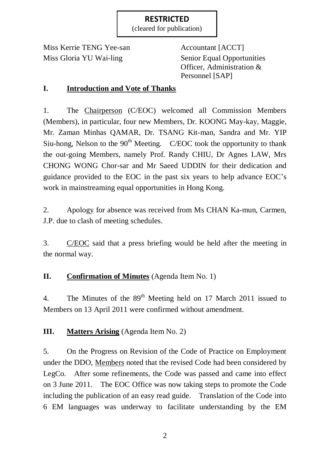(cleared for publication)

Miss Kerrie TENG Yee-san Accountant [ACCT] Miss Gloria YU Wai-ling Senior Equal Opportunities

Officer, Administration & Personnel [SAP]

# **I. Introduction and Vote of Thanks**

1. The Chairperson (C/EOC) welcomed all Commission Members (Members), in particular, four new Members, Dr. KOONG May-kay, Maggie, Mr. Zaman Minhas QAMAR, Dr. TSANG Kit-man, Sandra and Mr. YIP Siu-hong, Nelson to the  $90<sup>th</sup>$  Meeting. C/EOC took the opportunity to thank the out-going Members, namely Prof. Randy CHIU, Dr Agnes LAW, Mrs CHONG WONG Chor-sar and Mr Saeed UDDIN for their dedication and guidance provided to the EOC in the past six years to help advance EOC's work in mainstreaming equal opportunities in Hong Kong.

2. Apology for absence was received from Ms CHAN Ka-mun, Carmen, J.P. due to clash of meeting schedules.

3. C/EOC said that a press briefing would be held after the meeting in the normal way.

# **II. Confirmation of Minutes** (Agenda Item No. 1)

4. The Minutes of the  $89<sup>th</sup>$  Meeting held on 17 March 2011 issued to Members on 13 April 2011 were confirmed without amendment.

# **III. Matters Arising** (Agenda Item No. 2)

5. On the Progress on Revision of the Code of Practice on Employment under the DDO, Members noted that the revised Code had been considered by LegCo. After some refinements, the Code was passed and came into effect on 3 June 2011. The EOC Office was now taking steps to promote the Code including the publication of an easy read guide. Translation of the Code into 6 EM languages was underway to facilitate understanding by the EM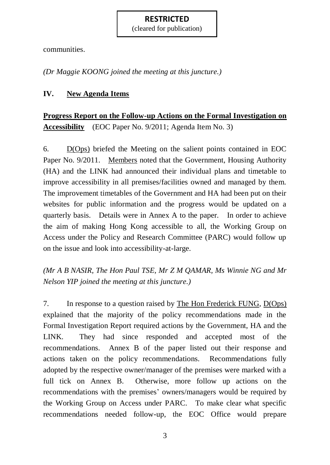(cleared for publication)

communities.

*(Dr Maggie KOONG joined the meeting at this juncture.)*

# **IV. New Agenda Items**

**Progress Report on the Follow-up Actions on the Formal Investigation on Accessibility** (EOC Paper No. 9/2011; Agenda Item No. 3)

6. D(Ops) briefed the Meeting on the salient points contained in EOC Paper No. 9/2011. Members noted that the Government, Housing Authority (HA) and the LINK had announced their individual plans and timetable to improve accessibility in all premises/facilities owned and managed by them. The improvement timetables of the Government and HA had been put on their websites for public information and the progress would be updated on a quarterly basis. Details were in Annex A to the paper. In order to achieve the aim of making Hong Kong accessible to all, the Working Group on Access under the Policy and Research Committee (PARC) would follow up on the issue and look into accessibility-at-large.

*(Mr A B NASIR, The Hon Paul TSE, Mr Z M QAMAR, Ms Winnie NG and Mr Nelson YIP joined the meeting at this juncture.)*

7. In response to a question raised by The Hon Frederick FUNG, D(Ops) explained that the majority of the policy recommendations made in the Formal Investigation Report required actions by the Government, HA and the LINK. They had since responded and accepted most of the recommendations. Annex B of the paper listed out their response and actions taken on the policy recommendations. Recommendations fully adopted by the respective owner/manager of the premises were marked with a full tick on Annex B. Otherwise, more follow up actions on the recommendations with the premises' owners/managers would be required by the Working Group on Access under PARC. To make clear what specific recommendations needed follow-up, the EOC Office would prepare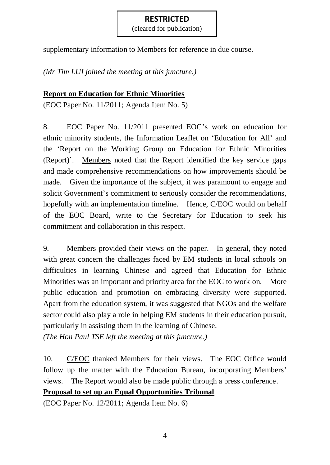(cleared for publication)

supplementary information to Members for reference in due course.

*(Mr Tim LUI joined the meeting at this juncture.)*

## **Report on Education for Ethnic Minorities**

(EOC Paper No. 11/2011; Agenda Item No. 5)

8. EOC Paper No. 11/2011 presented EOC's work on education for ethnic minority students, the Information Leaflet on 'Education for All' and the 'Report on the Working Group on Education for Ethnic Minorities (Report)'. Members noted that the Report identified the key service gaps and made comprehensive recommendations on how improvements should be made. Given the importance of the subject, it was paramount to engage and solicit Government's commitment to seriously consider the recommendations, hopefully with an implementation timeline. Hence, C/EOC would on behalf of the EOC Board, write to the Secretary for Education to seek his commitment and collaboration in this respect.

9. Members provided their views on the paper. In general, they noted with great concern the challenges faced by EM students in local schools on difficulties in learning Chinese and agreed that Education for Ethnic Minorities was an important and priority area for the EOC to work on. More public education and promotion on embracing diversity were supported. Apart from the education system, it was suggested that NGOs and the welfare sector could also play a role in helping EM students in their education pursuit, particularly in assisting them in the learning of Chinese.

*(The Hon Paul TSE left the meeting at this juncture.)*

10. C/EOC thanked Members for their views. The EOC Office would follow up the matter with the Education Bureau, incorporating Members' views. The Report would also be made public through a press conference.

**Proposal to set up an Equal Opportunities Tribunal**

(EOC Paper No. 12/2011; Agenda Item No. 6)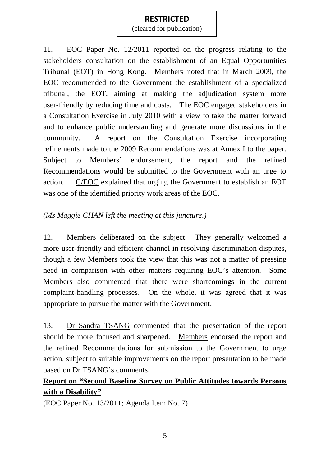(cleared for publication)

11. EOC Paper No. 12/2011 reported on the progress relating to the stakeholders consultation on the establishment of an Equal Opportunities Tribunal (EOT) in Hong Kong. Members noted that in March 2009, the EOC recommended to the Government the establishment of a specialized tribunal, the EOT, aiming at making the adjudication system more user-friendly by reducing time and costs. The EOC engaged stakeholders in a Consultation Exercise in July 2010 with a view to take the matter forward and to enhance public understanding and generate more discussions in the community. A report on the Consultation Exercise incorporating refinements made to the 2009 Recommendations was at Annex I to the paper. Subject to Members' endorsement, the report and the refined Recommendations would be submitted to the Government with an urge to action. C/EOC explained that urging the Government to establish an EOT was one of the identified priority work areas of the EOC.

# *(Ms Maggie CHAN left the meeting at this juncture.)*

12. Members deliberated on the subject. They generally welcomed a more user-friendly and efficient channel in resolving discrimination disputes, though a few Members took the view that this was not a matter of pressing need in comparison with other matters requiring EOC's attention. Some Members also commented that there were shortcomings in the current complaint-handling processes. On the whole, it was agreed that it was appropriate to pursue the matter with the Government.

13. Dr Sandra TSANG commented that the presentation of the report should be more focused and sharpened. Members endorsed the report and the refined Recommendations for submission to the Government to urge action, subject to suitable improvements on the report presentation to be made based on Dr TSANG's comments.

# **Report on "Second Baseline Survey on Public Attitudes towards Persons with a Disability"**

(EOC Paper No. 13/2011; Agenda Item No. 7)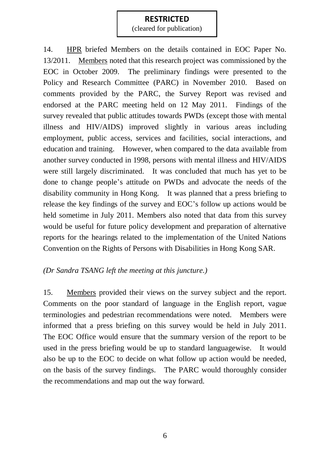(cleared for publication)

14. HPR briefed Members on the details contained in EOC Paper No. 13/2011. Members noted that this research project was commissioned by the EOC in October 2009. The preliminary findings were presented to the Policy and Research Committee (PARC) in November 2010. Based on comments provided by the PARC, the Survey Report was revised and endorsed at the PARC meeting held on 12 May 2011. Findings of the survey revealed that public attitudes towards PWDs (except those with mental illness and HIV/AIDS) improved slightly in various areas including employment, public access, services and facilities, social interactions, and education and training. However, when compared to the data available from another survey conducted in 1998, persons with mental illness and HIV/AIDS were still largely discriminated. It was concluded that much has yet to be done to change people's attitude on PWDs and advocate the needs of the disability community in Hong Kong. It was planned that a press briefing to release the key findings of the survey and EOC's follow up actions would be held sometime in July 2011. Members also noted that data from this survey would be useful for future policy development and preparation of alternative reports for the hearings related to the implementation of the United Nations Convention on the Rights of Persons with Disabilities in Hong Kong SAR.

#### *(Dr Sandra TSANG left the meeting at this juncture.)*

15. Members provided their views on the survey subject and the report. Comments on the poor standard of language in the English report, vague terminologies and pedestrian recommendations were noted. Members were informed that a press briefing on this survey would be held in July 2011. The EOC Office would ensure that the summary version of the report to be used in the press briefing would be up to standard languagewise. It would also be up to the EOC to decide on what follow up action would be needed, on the basis of the survey findings. The PARC would thoroughly consider the recommendations and map out the way forward.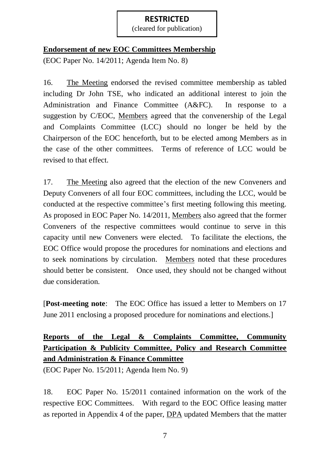(cleared for publication)

# **Endorsement of new EOC Committees Membership**

(EOC Paper No. 14/2011; Agenda Item No. 8)

16. The Meeting endorsed the revised committee membership as tabled including Dr John TSE, who indicated an additional interest to join the Administration and Finance Committee (A&FC). In response to a suggestion by C/EOC, Members agreed that the convenership of the Legal and Complaints Committee (LCC) should no longer be held by the Chairperson of the EOC henceforth, but to be elected among Members as in the case of the other committees. Terms of reference of LCC would be revised to that effect.

17. The Meeting also agreed that the election of the new Conveners and Deputy Conveners of all four EOC committees, including the LCC, would be conducted at the respective committee's first meeting following this meeting. As proposed in EOC Paper No. 14/2011, Members also agreed that the former Conveners of the respective committees would continue to serve in this capacity until new Conveners were elected. To facilitate the elections, the EOC Office would propose the procedures for nominations and elections and to seek nominations by circulation. Members noted that these procedures should better be consistent. Once used, they should not be changed without due consideration.

[**Post-meeting note**: The EOC Office has issued a letter to Members on 17 June 2011 enclosing a proposed procedure for nominations and elections.]

# **Reports of the Legal & Complaints Committee, Community Participation & Publicity Committee, Policy and Research Committee and Administration & Finance Committee**

(EOC Paper No. 15/2011; Agenda Item No. 9)

18. EOC Paper No. 15/2011 contained information on the work of the respective EOC Committees. With regard to the EOC Office leasing matter as reported in Appendix 4 of the paper, DPA updated Members that the matter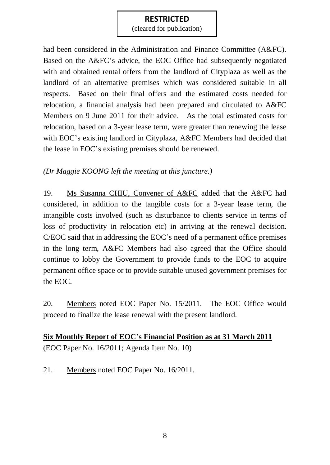(cleared for publication)

had been considered in the Administration and Finance Committee (A&FC). Based on the A&FC's advice, the EOC Office had subsequently negotiated with and obtained rental offers from the landlord of Cityplaza as well as the landlord of an alternative premises which was considered suitable in all respects. Based on their final offers and the estimated costs needed for relocation, a financial analysis had been prepared and circulated to A&FC Members on 9 June 2011 for their advice. As the total estimated costs for relocation, based on a 3-year lease term, were greater than renewing the lease with EOC's existing landlord in Cityplaza, A&FC Members had decided that the lease in EOC's existing premises should be renewed.

*(Dr Maggie KOONG left the meeting at this juncture.)*

19. Ms Susanna CHIU, Convener of A&FC added that the A&FC had considered, in addition to the tangible costs for a 3-year lease term, the intangible costs involved (such as disturbance to clients service in terms of loss of productivity in relocation etc) in arriving at the renewal decision. C/EOC said that in addressing the EOC's need of a permanent office premises in the long term, A&FC Members had also agreed that the Office should continue to lobby the Government to provide funds to the EOC to acquire permanent office space or to provide suitable unused government premises for the EOC.

20. Members noted EOC Paper No. 15/2011. The EOC Office would proceed to finalize the lease renewal with the present landlord.

# **Six Monthly Report of EOC's Financial Position as at 31 March 2011** (EOC Paper No. 16/2011; Agenda Item No. 10)

21. Members noted EOC Paper No. 16/2011.